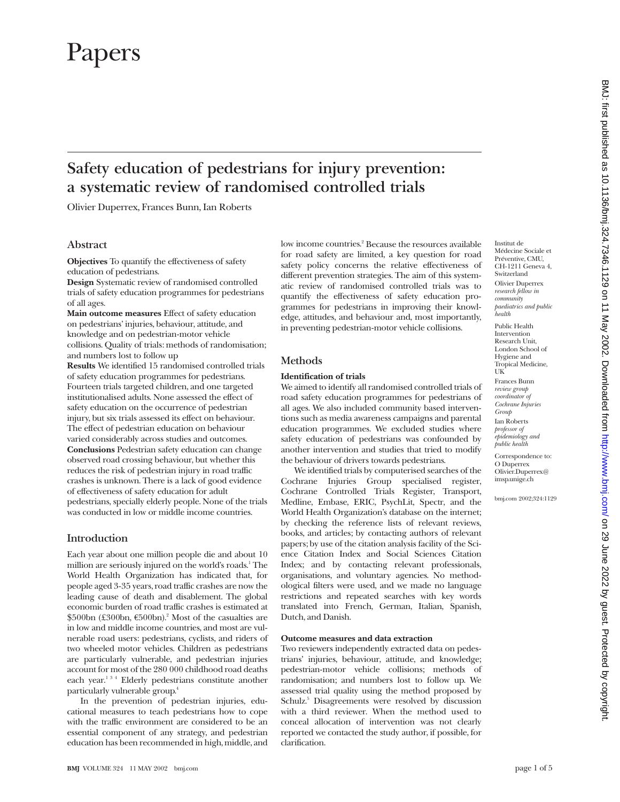# Papers

# **Safety education of pedestrians for injury prevention: a systematic review of randomised controlled trials**

Olivier Duperrex, Frances Bunn, Ian Roberts

# **Abstract**

**Objectives** To quantify the effectiveness of safety education of pedestrians.

**Design** Systematic review of randomised controlled trials of safety education programmes for pedestrians of all ages.

**Main outcome measures** Effect of safety education on pedestrians' injuries, behaviour, attitude, and knowledge and on pedestrian-motor vehicle collisions. Quality of trials: methods of randomisation; and numbers lost to follow up

**Results** We identified 15 randomised controlled trials of safety education programmes for pedestrians. Fourteen trials targeted children, and one targeted institutionalised adults. None assessed the effect of safety education on the occurrence of pedestrian injury, but six trials assessed its effect on behaviour. The effect of pedestrian education on behaviour varied considerably across studies and outcomes. **Conclusions** Pedestrian safety education can change observed road crossing behaviour, but whether this reduces the risk of pedestrian injury in road traffic crashes is unknown. There is a lack of good evidence of effectiveness of safety education for adult pedestrians, specially elderly people. None of the trials was conducted in low or middle income countries.

# **Introduction**

Each year about one million people die and about 10 million are seriously injured on the world's roads.<sup>1</sup> The World Health Organization has indicated that, for people aged 3-35 years, road traffic crashes are now the leading cause of death and disablement. The global economic burden of road traffic crashes is estimated at  $$500bn$  (£300bn,  $$500bn$ ).<sup>2</sup> Most of the casualties are in low and middle income countries, and most are vulnerable road users: pedestrians, cyclists, and riders of two wheeled motor vehicles. Children as pedestrians are particularly vulnerable, and pedestrian injuries account for most of the 280 000 childhood road deaths each year.134 Elderly pedestrians constitute another particularly vulnerable group.4

In the prevention of pedestrian injuries, educational measures to teach pedestrians how to cope with the traffic environment are considered to be an essential component of any strategy, and pedestrian education has been recommended in high, middle, and low income countries.<sup>2</sup> Because the resources available for road safety are limited, a key question for road safety policy concerns the relative effectiveness of different prevention strategies. The aim of this systematic review of randomised controlled trials was to quantify the effectiveness of safety education programmes for pedestrians in improving their knowledge, attitudes, and behaviour and, most importantly, in preventing pedestrian-motor vehicle collisions.

# **Methods**

#### **Identification of trials**

We aimed to identify all randomised controlled trials of road safety education programmes for pedestrians of all ages. We also included community based interventions such as media awareness campaigns and parental education programmes. We excluded studies where safety education of pedestrians was confounded by another intervention and studies that tried to modify the behaviour of drivers towards pedestrians.

We identified trials by computerised searches of the Cochrane Injuries Group specialised register, Cochrane Controlled Trials Register, Transport, Medline, Embase, ERIC, PsychLit, Spectr, and the World Health Organization's database on the internet; by checking the reference lists of relevant reviews, books, and articles; by contacting authors of relevant papers; by use of the citation analysis facility of the Science Citation Index and Social Sciences Citation Index; and by contacting relevant professionals, organisations, and voluntary agencies. No methodological filters were used, and we made no language restrictions and repeated searches with key words translated into French, German, Italian, Spanish, Dutch, and Danish.

#### **Outcome measures and data extraction**

Two reviewers independently extracted data on pedestrians' injuries, behaviour, attitude, and knowledge; pedestrian-motor vehicle collisions; methods of randomisation; and numbers lost to follow up. We assessed trial quality using the method proposed by Schulz.<sup>5</sup> Disagreements were resolved by discussion with a third reviewer. When the method used to conceal allocation of intervention was not clearly reported we contacted the study author, if possible, for clarification.

Institut de Médecine Sociale et Préventive, CMU, CH-1211 Geneva 4, Switzerland Olivier Duperrex *research fellow in community paediatrics and public health*

Public Health Intervention Research Unit, London School of Hygiene and Tropical Medicine, UK Frances Bunn *review group coordinator of Cochrane Injuries Group* Ian Roberts *professor of epidemiology and public health*

Correspondence to: O Duperrex Olivier.Duperrex@ imsp.unige.ch

bmj.com 2002;324:1129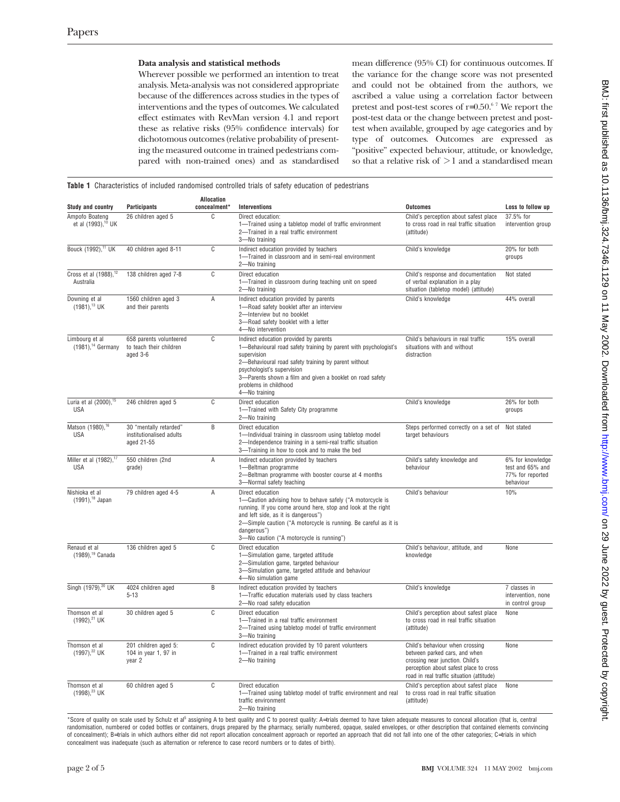### **Data analysis and statistical methods**

Wherever possible we performed an intention to treat analysis. Meta-analysis was not considered appropriate because of the differences across studies in the types of interventions and the types of outcomes. We calculated effect estimates with RevMan version 4.1 and report these as relative risks (95% confidence intervals) for dichotomous outcomes (relative probability of presenting the measured outcome in trained pedestrians compared with non-trained ones) and as standardised

mean difference (95% CI) for continuous outcomes. If the variance for the change score was not presented and could not be obtained from the authors, we ascribed a value using a correlation factor between pretest and post-test scores of  $r=0.50$ .<sup>67</sup> We report the post-test data or the change between pretest and posttest when available, grouped by age categories and by type of outcomes. Outcomes are expressed as "positive" expected behaviour, attitude, or knowledge, so that a relative risk of  $\geq 1$  and a standardised mean

**Table 1** Characteristics of included randomised controlled trials of safety education of pedestrians

| Study and country                                  | Participants                                                     | Allocation<br>concealment* | Interventions                                                                                                                                                                                                                                                                                                          | <b>Outcomes</b>                                                                                                                                                                            | Loss to follow up                                                     |
|----------------------------------------------------|------------------------------------------------------------------|----------------------------|------------------------------------------------------------------------------------------------------------------------------------------------------------------------------------------------------------------------------------------------------------------------------------------------------------------------|--------------------------------------------------------------------------------------------------------------------------------------------------------------------------------------------|-----------------------------------------------------------------------|
| Ampofo Boateng<br>et al (1993), <sup>10</sup> UK   | 26 children aged 5                                               | C                          | Direct education:<br>1-Trained using a tabletop model of traffic environment<br>2-Trained in a real traffic environment<br>3-No training                                                                                                                                                                               | Child's perception about safest place<br>to cross road in real traffic situation<br>(attitude)                                                                                             | 37.5% for<br>intervention group                                       |
| Bouck (1992), <sup>11</sup> UK                     | 40 children aged 8-11                                            | C                          | Indirect education provided by teachers<br>1-Trained in classroom and in semi-real environment<br>2-No training                                                                                                                                                                                                        | Child's knowledge                                                                                                                                                                          | 20% for both<br>groups                                                |
| Cross et al (1988), <sup>12</sup><br>Australia     | 138 children aged 7-8                                            | C                          | Direct education<br>1-Trained in classroom during teaching unit on speed<br>2-No training                                                                                                                                                                                                                              | Child's response and documentation<br>of verbal explanation in a play<br>situation (tabletop model) (attitude)                                                                             | Not stated                                                            |
| Downing et al<br>$(1981),^{13}$ UK                 | 1560 children aged 3<br>and their parents                        | A                          | Indirect education provided by parents<br>1-Road safety booklet after an interview<br>2-Interview but no booklet<br>3-Road safety booklet with a letter<br>4-No intervention                                                                                                                                           | Child's knowledge                                                                                                                                                                          | 44% overall                                                           |
| Limbourg et al<br>$(1981)$ , <sup>14</sup> Germany | 658 parents volunteered<br>to teach their children<br>aged 3-6   | C                          | Indirect education provided by parents<br>1-Behavioural road safety training by parent with psychologist's<br>supervision<br>2-Behavioural road safety training by parent without<br>psychologist's supervision<br>3-Parents shown a film and given a booklet on road safety<br>problems in childhood<br>4-No training | Child's behaviours in real traffic<br>situations with and without<br>distraction                                                                                                           | 15% overall                                                           |
| Luria et al (2000), <sup>15</sup><br><b>USA</b>    | 246 children aged 5                                              | C                          | Direct education<br>1-Trained with Safety City programme<br>2-No training                                                                                                                                                                                                                                              | Child's knowledge                                                                                                                                                                          | 26% for both<br>groups                                                |
| Matson (1980), <sup>16</sup><br><b>USA</b>         | 30 "mentally retarded"<br>institutionalised adults<br>aged 21-55 | B                          | Direct education<br>1-Individual training in classroom using tabletop model<br>2-Independence training in a semi-real traffic situation<br>3-Training in how to cook and to make the bed                                                                                                                               | Steps performed correctly on a set of<br>target behaviours                                                                                                                                 | Not stated                                                            |
| Miller et al (1982), <sup>17</sup><br><b>USA</b>   | 550 children (2nd<br>grade)                                      | Α                          | Indirect education provided by teachers<br>1-Beltman programme<br>2-Beltman programme with booster course at 4 months<br>3-Normal safety teaching                                                                                                                                                                      | Child's safety knowledge and<br>behaviour                                                                                                                                                  | 6% for knowledge<br>test and 65% and<br>77% for reported<br>behaviour |
| Nishioka et al<br>$(1991)$ , <sup>18</sup> Japan   | 79 children aged 4-5                                             | Α                          | Direct education<br>1-Caution advising how to behave safely ("A motorcycle is<br>running. If you come around here, stop and look at the right<br>and left side, as it is dangerous")<br>2-Simple caution ("A motorcycle is running. Be careful as it is<br>dangerous")<br>3-No caution ("A motorcycle is running")     | Child's behaviour                                                                                                                                                                          | 10%                                                                   |
| Renaud et al<br>(1989), <sup>19</sup> Canada       | 136 children aged 5                                              | C                          | Direct education<br>1-Simulation game, targeted attitude<br>2-Simulation game, targeted behaviour<br>3-Simulation game, targeted attitude and behaviour<br>4-No simulation game                                                                                                                                        | Child's behaviour, attitude, and<br>knowledge                                                                                                                                              | None                                                                  |
| Singh (1979), <sup>20</sup> UK                     | 4024 children aged<br>$5 - 13$                                   | B                          | Indirect education provided by teachers<br>1-Traffic education materials used by class teachers<br>2-No road safety education                                                                                                                                                                                          | Child's knowledge                                                                                                                                                                          | 7 classes in<br>intervention, none<br>in control group                |
| Thomson et al<br>$(1992)^{21}$ UK                  | 30 children aged 5                                               | C                          | Direct education<br>1-Trained in a real traffic environment<br>2-Trained using tabletop model of traffic environment<br>3-No training                                                                                                                                                                                  | Child's perception about safest place<br>to cross road in real traffic situation<br>(attitude)                                                                                             | None                                                                  |
| Thomson et al<br>(1997), <sup>22</sup> UK          | 201 children aged 5:<br>104 in year 1, 97 in<br>year 2           | C                          | Indirect education provided by 10 parent volunteers<br>1-Trained in a real traffic environment<br>2-No training                                                                                                                                                                                                        | Child's behaviour when crossing<br>between parked cars, and when<br>crossing near junction. Child's<br>perception about safest place to cross<br>road in real traffic situation (attitude) | None                                                                  |
| Thomson et al<br>$(1998).^{23}$ UK                 | 60 children aged 5                                               | C                          | Direct education<br>1-Trained using tabletop model of traffic environment and real<br>traffic environment<br>2-No training                                                                                                                                                                                             | Child's perception about safest place<br>to cross road in real traffic situation<br>(attitude)                                                                                             | None                                                                  |

\*Score of quality on scale used by Schulz et al<sup>5</sup> assigning A to best quality and C to poorest quality: A=trials deemed to have taken adequate measures to conceal allocation (that is, central randomisation, numbered or coded bottles or containers, drugs prepared by the pharmacy, serially numbered, opaque, sealed envelopes, or other description that contained elements convincing of concealment); B=trials in which authors either did not report allocation concealment approach or reported an approach that did not fall into one of the other categories; C=trials in which concealment was inadequate (such as alternation or reference to case record numbers or to dates of birth).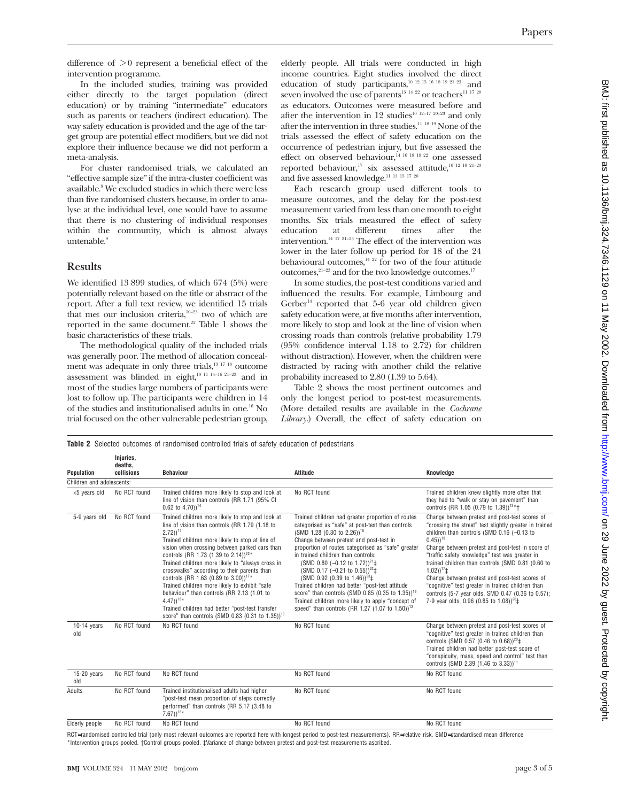difference of  $>0$  represent a beneficial effect of the intervention programme.

In the included studies, training was provided either directly to the target population (direct education) or by training "intermediate" educators such as parents or teachers (indirect education). The way safety education is provided and the age of the target group are potential effect modifiers, but we did not explore their influence because we did not perform a meta-analysis.

For cluster randomised trials, we calculated an "effective sample size" if the intra-cluster coefficient was available.<sup>8</sup> We excluded studies in which there were less than five randomised clusters because, in order to analyse at the individual level, one would have to assume that there is no clustering of individual responses within the community, which is almost always untenable.<sup>9</sup>

### **Results**

We identified 13 899 studies, of which 674 (5%) were potentially relevant based on the title or abstract of the report. After a full text review, we identified 15 trials that met our inclusion criteria,10–23 two of which are reported in the same document.<sup>22</sup> Table 1 shows the basic characteristics of these trials.

The methodological quality of the included trials was generally poor. The method of allocation concealment was adequate in only three trials,<sup>13 17 18</sup> outcome assessment was blinded in eight,<sup>10 11 14–16 21–23</sup> and in most of the studies large numbers of participants were lost to follow up. The participants were children in 14 of the studies and institutionalised adults in one.16 No trial focused on the other vulnerable pedestrian group,

**Injuries,**

elderly people. All trials were conducted in high income countries. Eight studies involved the direct education of study participants,10 12 15 16 18 19 21 23 and seven involved the use of parents<sup>13 14 22</sup> or teachers<sup>11 17 20</sup> as educators. Outcomes were measured before and after the intervention in 12 studies<sup>10 12–17 20–23</sup> and only after the intervention in three studies.11 18 19 None of the trials assessed the effect of safety education on the occurrence of pedestrian injury, but five assessed the effect on observed behaviour,  $14$  16 18 19 22 one assessed reported behaviour,<sup>17</sup> six assessed attitude,<sup>10 12 19 21-23</sup> and five assessed knowledge. $^{\rm 11\ 13\ 15\ 17\ 20}$ 

Each research group used different tools to measure outcomes, and the delay for the post-test measurement varied from less than one month to eight months. Six trials measured the effect of safety education at different times after the intervention.14 17 21–23 The effect of the intervention was lower in the later follow up period for 18 of the 24 behavioural outcomes, $14 \times 22$  for two of the four attitude outcomes, $2^{1-23}$  and for the two knowledge outcomes.<sup>17</sup>

In some studies, the post-test conditions varied and influenced the results. For example, Limbourg and Gerber $14$  reported that 5-6 year old children given safety education were, at five months after intervention, more likely to stop and look at the line of vision when crossing roads than controls (relative probability 1.79 (95% confidence interval 1.18 to 2.72) for children without distraction). However, when the children were distracted by racing with another child the relative probability increased to 2.80 (1.39 to 5.64).

Table 2 shows the most pertinent outcomes and only the longest period to post-test measurements. (More detailed results are available in the *Cochrane Library*.) Overall, the effect of safety education on

**Table 2** Selected outcomes of randomised controlled trials of safety education of pedestrians

| Population                | deaths,<br>collisions | <b>Behaviour</b>                                                                                                                                                                                                                                                                                                                                                                                                                                                                                                                                                                                                                                                                         | <b>Attitude</b>                                                                                                                                                                                                                                                                                                                                                                                                                                                                                                                                                                                                                                                          | Knowledge                                                                                                                                                                                                                                                                                                                                                                                                                                                                                                                                                                                   |  |  |  |  |
|---------------------------|-----------------------|------------------------------------------------------------------------------------------------------------------------------------------------------------------------------------------------------------------------------------------------------------------------------------------------------------------------------------------------------------------------------------------------------------------------------------------------------------------------------------------------------------------------------------------------------------------------------------------------------------------------------------------------------------------------------------------|--------------------------------------------------------------------------------------------------------------------------------------------------------------------------------------------------------------------------------------------------------------------------------------------------------------------------------------------------------------------------------------------------------------------------------------------------------------------------------------------------------------------------------------------------------------------------------------------------------------------------------------------------------------------------|---------------------------------------------------------------------------------------------------------------------------------------------------------------------------------------------------------------------------------------------------------------------------------------------------------------------------------------------------------------------------------------------------------------------------------------------------------------------------------------------------------------------------------------------------------------------------------------------|--|--|--|--|
| Children and adolescents: |                       |                                                                                                                                                                                                                                                                                                                                                                                                                                                                                                                                                                                                                                                                                          |                                                                                                                                                                                                                                                                                                                                                                                                                                                                                                                                                                                                                                                                          |                                                                                                                                                                                                                                                                                                                                                                                                                                                                                                                                                                                             |  |  |  |  |
| <5 years old              | No RCT found          | Trained children more likely to stop and look at<br>line of vision than controls (RR 1.71 (95% CI)<br>$0.62$ to 4.70)) <sup>14</sup>                                                                                                                                                                                                                                                                                                                                                                                                                                                                                                                                                     | No RCT found                                                                                                                                                                                                                                                                                                                                                                                                                                                                                                                                                                                                                                                             | Trained children knew slightly more often that<br>they had to "walk or stay on pavement" than<br>controls (RR 1.05 (0.79 to 1.39)) <sup>13*</sup> +                                                                                                                                                                                                                                                                                                                                                                                                                                         |  |  |  |  |
| 5-9 vears old             | No RCT found          | Trained children more likely to stop and look at<br>line of vision than controls (RR 1.79 (1.18 to<br>$2.72)$ <sup>14</sup><br>Trained children more likely to stop at line of<br>vision when crossing between parked cars than<br>controls (RR 1.73 (1.39 to 2.14)) <sup>22*</sup><br>Trained children more likely to "always cross in<br>crosswalks" according to their parents than<br>controls (RR 1.63 (0.89 to 3.00)) <sup>17*</sup><br>Trained children more likely to exhibit "safe<br>behaviour" than controls (RR 2.13 (1.01 to<br>$(4.47))$ <sup>18*</sup><br>Trained children had better "post-test transfer<br>score" than controls (SMD 0.83 (0.31 to 1.35)) <sup>19</sup> | Trained children had greater proportion of routes<br>categorised as "safe" at post-test than controls<br>$(SMD 1.28 (0.30 to 2.26))^{10}$<br>Change between pretest and post-test in<br>proportion of routes categorised as "safe" greater<br>in trained children than controls:<br>(SMD 0.80 (-0.12 to 1.72)) <sup>21</sup> ‡<br>(SMD 0.17 (-0.21 to 0.55)) <sup>22</sup> $\pm$<br>(SMD 0.92 (0.39 to 1.46)) <sup>23</sup> $\pm$<br>Trained children had better "post-test attitude<br>score" than controls (SMD 0.85 (0.35 to 1.35)) <sup>19</sup><br>Trained children more likely to apply "concept of<br>speed" than controls (RR 1.27 (1.07 to 1.50)) <sup>12</sup> | Change between pretest and post-test scores of<br>"crossing the street" test slightly greater in trained<br>children than controls (SMD $0.16$ (-0.13 to<br>$(0.45)$ <sup>15</sup><br>Change between pretest and post-test in score of<br>"traffic safety knowledge" test was greater in<br>trained children than controls (SMD 0.81 (0.60 to<br>$1.02)$ <sup>17</sup> ‡<br>Change between pretest and post-test scores of<br>"cognitive" test greater in trained children than<br>controls (5-7 year olds, SMD 0.47 (0.36 to 0.57);<br>7-9 year olds, 0.96 (0.85 to 1.08)) <sup>20</sup> ‡ |  |  |  |  |
| $10-14$ years<br>old      | No RCT found          | No RCT found                                                                                                                                                                                                                                                                                                                                                                                                                                                                                                                                                                                                                                                                             | No RCT found                                                                                                                                                                                                                                                                                                                                                                                                                                                                                                                                                                                                                                                             | Change between pretest and post-test scores of<br>"cognitive" test greater in trained children than<br>controls (SMD 0.57 (0.46 to 0.68)) <sup>20</sup> ‡<br>Trained children had better post-test score of<br>"conspicuity, mass, speed and control" test than<br>controls (SMD 2.39 (1.46 to 3.33)) <sup>11</sup>                                                                                                                                                                                                                                                                         |  |  |  |  |
| $15-20$ years<br>old      | No RCT found          | No RCT found                                                                                                                                                                                                                                                                                                                                                                                                                                                                                                                                                                                                                                                                             | No RCT found                                                                                                                                                                                                                                                                                                                                                                                                                                                                                                                                                                                                                                                             | No RCT found                                                                                                                                                                                                                                                                                                                                                                                                                                                                                                                                                                                |  |  |  |  |
| Adults                    | No RCT found          | Trained institutionalised adults had higher<br>"post-test mean proportion of steps correctly<br>performed" than controls (RR 5.17 (3.48 to<br>$7.67)$ <sup>16*</sup>                                                                                                                                                                                                                                                                                                                                                                                                                                                                                                                     | No RCT found                                                                                                                                                                                                                                                                                                                                                                                                                                                                                                                                                                                                                                                             | No RCT found                                                                                                                                                                                                                                                                                                                                                                                                                                                                                                                                                                                |  |  |  |  |
| Elderly people            | No RCT found          | No RCT found                                                                                                                                                                                                                                                                                                                                                                                                                                                                                                                                                                                                                                                                             | No RCT found                                                                                                                                                                                                                                                                                                                                                                                                                                                                                                                                                                                                                                                             | No RCT found                                                                                                                                                                                                                                                                                                                                                                                                                                                                                                                                                                                |  |  |  |  |

RCT=randomised controlled trial (only most relevant outcomes are reported here with longest period to post-test measurements). RR=relative risk. SMD=standardised mean difference \*Intervention groups pooled. †Control groups pooled. ‡Variance of change between pretest and post-test measurements ascribed.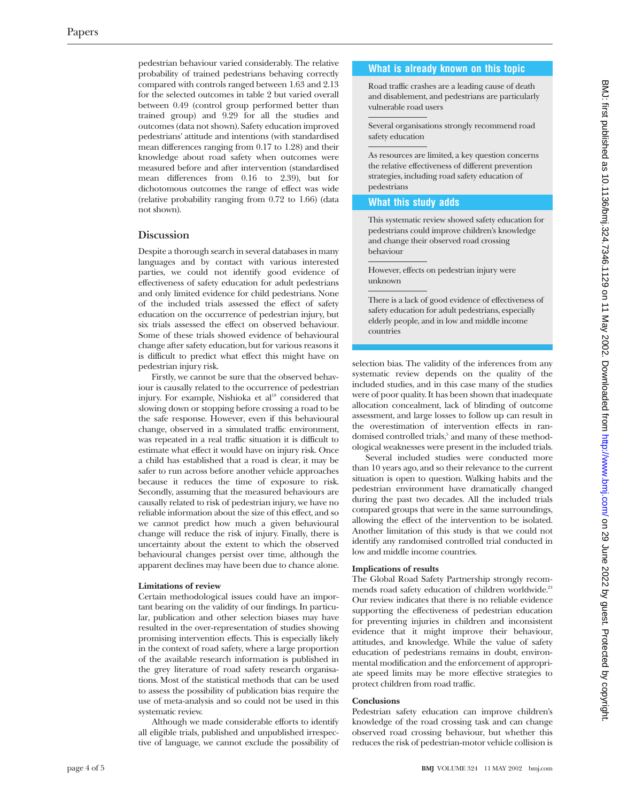pedestrian behaviour varied considerably. The relative probability of trained pedestrians behaving correctly compared with controls ranged between 1.63 and 2.13 for the selected outcomes in table 2 but varied overall between 0.49 (control group performed better than trained group) and 9.29 for all the studies and outcomes (data not shown). Safety education improved pedestrians' attitude and intentions (with standardised mean differences ranging from 0.17 to 1.28) and their knowledge about road safety when outcomes were measured before and after intervention (standardised mean differences from 0.16 to 2.39), but for dichotomous outcomes the range of effect was wide (relative probability ranging from 0.72 to 1.66) (data not shown).

# **Discussion**

Despite a thorough search in several databases in many languages and by contact with various interested parties, we could not identify good evidence of effectiveness of safety education for adult pedestrians and only limited evidence for child pedestrians. None of the included trials assessed the effect of safety education on the occurrence of pedestrian injury, but six trials assessed the effect on observed behaviour. Some of these trials showed evidence of behavioural change after safety education, but for various reasons it is difficult to predict what effect this might have on pedestrian injury risk.

Firstly, we cannot be sure that the observed behaviour is causally related to the occurrence of pedestrian injury. For example, Nishioka et al<sup>18</sup> considered that slowing down or stopping before crossing a road to be the safe response. However, even if this behavioural change, observed in a simulated traffic environment, was repeated in a real traffic situation it is difficult to estimate what effect it would have on injury risk. Once a child has established that a road is clear, it may be safer to run across before another vehicle approaches because it reduces the time of exposure to risk. Secondly, assuming that the measured behaviours are causally related to risk of pedestrian injury, we have no reliable information about the size of this effect, and so we cannot predict how much a given behavioural change will reduce the risk of injury. Finally, there is uncertainty about the extent to which the observed behavioural changes persist over time, although the apparent declines may have been due to chance alone.

#### **Limitations of review**

Certain methodological issues could have an important bearing on the validity of our findings. In particular, publication and other selection biases may have resulted in the over-representation of studies showing promising intervention effects. This is especially likely in the context of road safety, where a large proportion of the available research information is published in the grey literature of road safety research organisations. Most of the statistical methods that can be used to assess the possibility of publication bias require the use of meta-analysis and so could not be used in this systematic review.

Although we made considerable efforts to identify all eligible trials, published and unpublished irrespective of language, we cannot exclude the possibility of

#### **What is already known on this topic**

Road traffic crashes are a leading cause of death and disablement, and pedestrians are particularly vulnerable road users

Several organisations strongly recommend road safety education

As resources are limited, a key question concerns the relative effectiveness of different prevention strategies, including road safety education of pedestrians

#### **What this study adds**

This systematic review showed safety education for pedestrians could improve children's knowledge and change their observed road crossing behaviour

However, effects on pedestrian injury were unknown

There is a lack of good evidence of effectiveness of safety education for adult pedestrians, especially elderly people, and in low and middle income countries

selection bias. The validity of the inferences from any systematic review depends on the quality of the included studies, and in this case many of the studies were of poor quality. It has been shown that inadequate allocation concealment, lack of blinding of outcome assessment, and large losses to follow up can result in the overestimation of intervention effects in randomised controlled trials,<sup>5</sup> and many of these methodological weaknesses were present in the included trials.

Several included studies were conducted more than 10 years ago, and so their relevance to the current situation is open to question. Walking habits and the pedestrian environment have dramatically changed during the past two decades. All the included trials compared groups that were in the same surroundings, allowing the effect of the intervention to be isolated. Another limitation of this study is that we could not identify any randomised controlled trial conducted in low and middle income countries.

#### **Implications of results**

The Global Road Safety Partnership strongly recommends road safety education of children worldwide.<sup>24</sup> Our review indicates that there is no reliable evidence supporting the effectiveness of pedestrian education for preventing injuries in children and inconsistent evidence that it might improve their behaviour, attitudes, and knowledge. While the value of safety education of pedestrians remains in doubt, environmental modification and the enforcement of appropriate speed limits may be more effective strategies to protect children from road traffic.

#### **Conclusions**

Pedestrian safety education can improve children's knowledge of the road crossing task and can change observed road crossing behaviour, but whether this reduces the risk of pedestrian-motor vehicle collision is